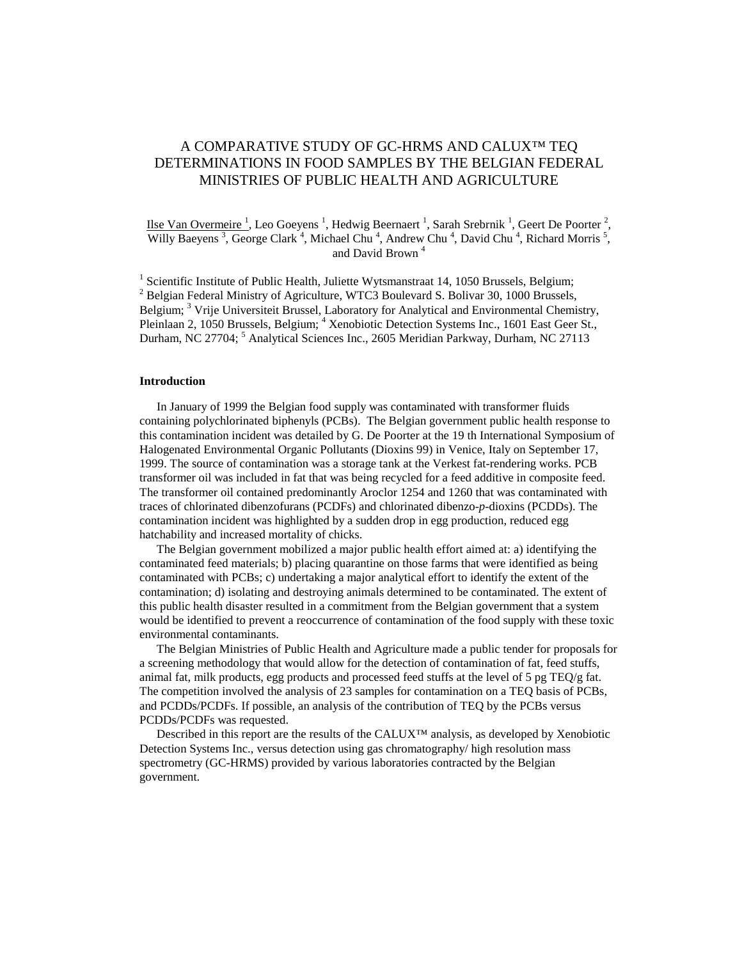# A COMPARATIVE STUDY OF GC-HRMS AND CALUX™ TEQ DETERMINATIONS IN FOOD SAMPLES BY THE BELGIAN FEDERAL MINISTRIES OF PUBLIC HEALTH AND AGRICULTURE

### Ilse Van Overmeire<sup>1</sup>, Leo Goeyens<sup>1</sup>, Hedwig Beernaert<sup>1</sup>, Sarah Srebrnik<sup>1</sup>, Geert De Poorter<sup>2</sup>, Willy Baeyens<sup>3</sup>, George Clark<sup>4</sup>, Michael Chu<sup>4</sup>, Andrew Chu<sup>4</sup>, David Chu<sup>4</sup>, Richard Morris<sup>5</sup>, and David Brown<sup>4</sup>

<sup>1</sup> Scientific Institute of Public Health, Juliette Wytsmanstraat 14, 1050 Brussels, Belgium; <sup>2</sup> Belgian Federal Ministry of Agriculture, WTC3 Boulevard S. Bolivar 30, 1000 Brussels, Belgium; <sup>3</sup> Vrije Universiteit Brussel, Laboratory for Analytical and Environmental Chemistry, Pleinlaan 2, 1050 Brussels, Belgium; <sup>4</sup> Xenobiotic Detection Systems Inc., 1601 East Geer St., Durham, NC 27704;<sup>5</sup> Analytical Sciences Inc., 2605 Meridian Parkway, Durham, NC 27113

### **Introduction**

In January of 1999 the Belgian food supply was contaminated with transformer fluids containing polychlorinated biphenyls (PCBs). The Belgian government public health response to this contamination incident was detailed by G. De Poorter at the 19 th International Symposium of Halogenated Environmental Organic Pollutants (Dioxins 99) in Venice, Italy on September 17, 1999. The source of contamination was a storage tank at the Verkest fat-rendering works. PCB transformer oil was included in fat that was being recycled for a feed additive in composite feed. The transformer oil contained predominantly Aroclor 1254 and 1260 that was contaminated with traces of chlorinated dibenzofurans (PCDFs) and chlorinated dibenzo-*p*-dioxins (PCDDs). The contamination incident was highlighted by a sudden drop in egg production, reduced egg hatchability and increased mortality of chicks.

The Belgian government mobilized a major public health effort aimed at: a) identifying the contaminated feed materials; b) placing quarantine on those farms that were identified as being contaminated with PCBs; c) undertaking a major analytical effort to identify the extent of the contamination; d) isolating and destroying animals determined to be contaminated. The extent of this public health disaster resulted in a commitment from the Belgian government that a system would be identified to prevent a reoccurrence of contamination of the food supply with these toxic environmental contaminants.

The Belgian Ministries of Public Health and Agriculture made a public tender for proposals for a screening methodology that would allow for the detection of contamination of fat, feed stuffs, animal fat, milk products, egg products and processed feed stuffs at the level of 5 pg TEQ/g fat. The competition involved the analysis of 23 samples for contamination on a TEQ basis of PCBs, and PCDDs/PCDFs. If possible, an analysis of the contribution of TEQ by the PCBs versus PCDDs/PCDFs was requested.

Described in this report are the results of the CALUX™ analysis, as developed by Xenobiotic Detection Systems Inc., versus detection using gas chromatography/ high resolution mass spectrometry (GC-HRMS) provided by various laboratories contracted by the Belgian government.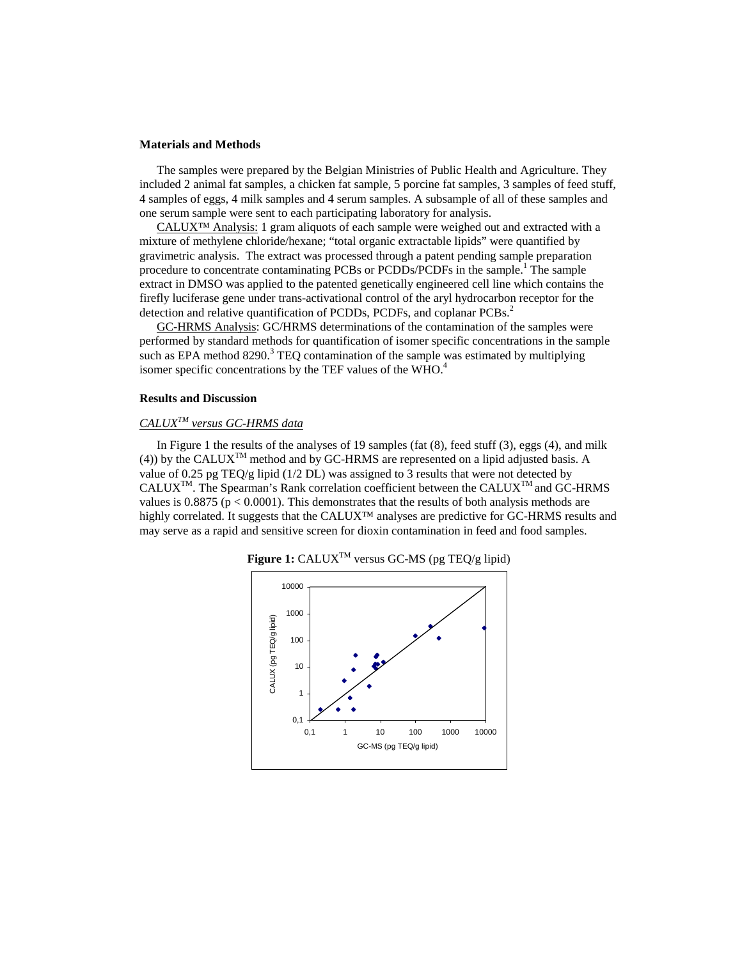### **Materials and Methods**

The samples were prepared by the Belgian Ministries of Public Health and Agriculture. They included 2 animal fat samples, a chicken fat sample, 5 porcine fat samples, 3 samples of feed stuff, 4 samples of eggs, 4 milk samples and 4 serum samples. A subsample of all of these samples and one serum sample were sent to each participating laboratory for analysis.

CALUX<sup>™</sup> Analysis: 1 gram aliquots of each sample were weighed out and extracted with a mixture of methylene chloride/hexane; "total organic extractable lipids" were quantified by gravimetric analysis. The extract was processed through a patent pending sample preparation procedure to concentrate contaminating PCBs or PCDDs/PCDFs in the sample.<sup>1</sup> The sample extract in DMSO was applied to the patented genetically engineered cell line which contains the firefly luciferase gene under trans-activational control of the aryl hydrocarbon receptor for the detection and relative quantification of PCDDs, PCDFs, and coplanar PCBs.<sup>2</sup>

GC-HRMS Analysis: GC/HRMS determinations of the contamination of the samples were performed by standard methods for quantification of isomer specific concentrations in the sample such as EPA method  $8290.3$  TEQ contamination of the sample was estimated by multiplying isomer specific concentrations by the TEF values of the WHO.<sup>4</sup>

### **Results and Discussion**

## *CALUXTM versus GC-HRMS data*

In Figure 1 the results of the analyses of 19 samples (fat (8), feed stuff (3), eggs (4), and milk (4)) by the CALUX<sup>TM</sup> method and by GC-HRMS are represented on a lipid adjusted basis. A value of 0.25 pg TEQ/g lipid (1/2 DL) was assigned to 3 results that were not detected by  $CALUX^{TM}$ . The Spearman's Rank correlation coefficient between the CALUX<sup>TM</sup> and GC-HRMS values is  $0.8875$  ( $p < 0.0001$ ). This demonstrates that the results of both analysis methods are highly correlated. It suggests that the CALUX™ analyses are predictive for GC-HRMS results and may serve as a rapid and sensitive screen for dioxin contamination in feed and food samples.



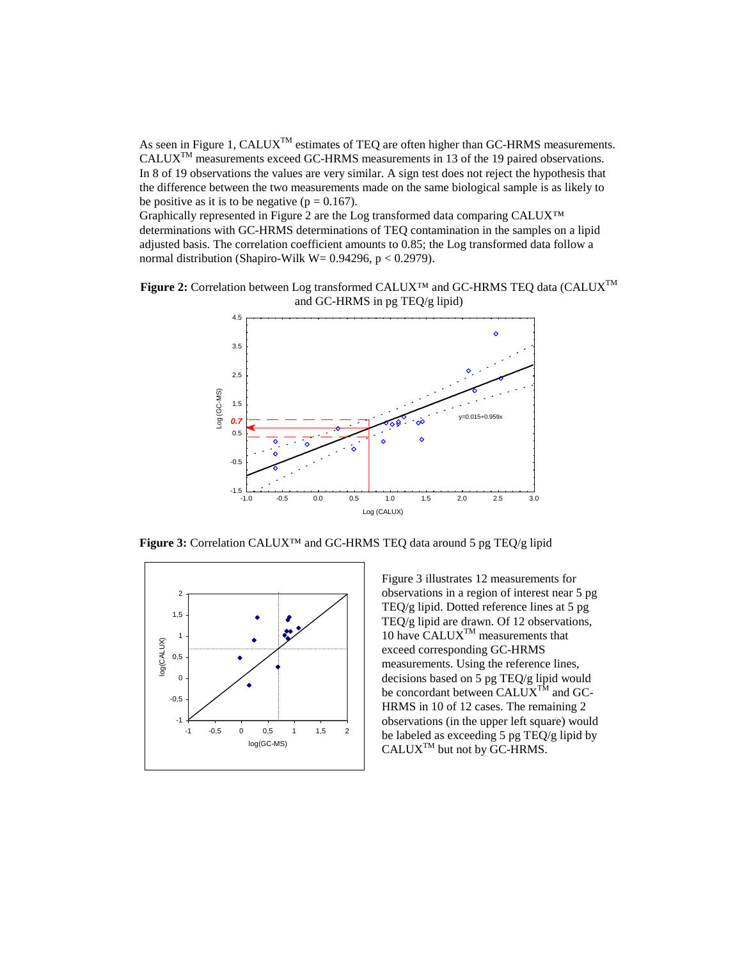As seen in Figure 1, CALUX<sup>TM</sup> estimates of TEQ are often higher than GC-HRMS measurements. CALUXTM measurements exceed GC-HRMS measurements in 13 of the 19 paired observations. In 8 of 19 observations the values are very similar. A sign test does not reject the hypothesis that the difference between the two measurements made on the same biological sample is as likely to be positive as it is to be negative ( $p = 0.167$ ).

Graphically represented in Figure 2 are the Log transformed data comparing CALUX™ determinations with GC-HRMS determinations of TEQ contamination in the samples on a lipid adjusted basis. The correlation coefficient amounts to 0.85; the Log transformed data follow a normal distribution (Shapiro-Wilk W=  $0.94296$ , p <  $0.2979$ ).





**Figure 3:** Correlation CALUX™ and GC-HRMS TEQ data around 5 pg TEQ/g lipid



Figure 3 illustrates 12 measurements for observations in a region of interest near 5 pg TEQ/g lipid. Dotted reference lines at 5 pg TEQ/g lipid are drawn. Of 12 observations, 10 have  $CALUX^{TM}$  measurements that exceed corresponding GC-HRMS measurements. Using the reference lines, decisions based on 5 pg TEQ/g lipid would be concordant between  $\widetilde{CALUX}^{T\tilde{M}}$  and GC-HRMS in 10 of 12 cases. The remaining 2 observations (in the upper left square) would be labeled as exceeding 5 pg TEQ/g lipid by  $CALUX^{TM}$  but not by  $GC-HRMS$ .